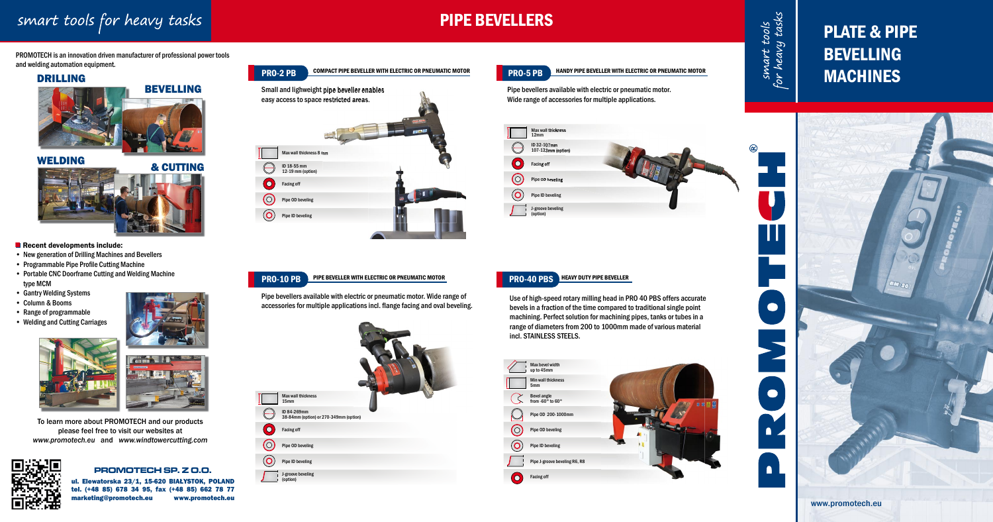# smart tools for heavy tasks

# PIPE BEVELLERS

smart tools<br>for heavy tasks

H

 $\bullet$ 

 $\bullet$ 

 $\blacksquare$ 

 $\blacksquare$ 

PROMOTECH is an innovation driven manufacturer of professional power tools and welding automation equipment.

## DRILLING





## Recent developments include:

- New generation of Drilling Machines and Bevellers
- Programmable Pipe Profile Cutting Machine
- Portable CNC Doorframe Cutting and Welding Machine type MCM
- Gantry Welding Systems
- Column & Booms •
- Range of programmable
- Welding and Cutting Carriages





To learn more about PROMOTECH and our products please feel free to visit our websites at *www.promotech.eu* and *www.windtowercutting.com*

## **PROMOTECH SP. Z O.O.**

ul. Elewatorska 23/1, 15-620 BIAŁYSTOK, POLAND tel. (+48 85) 678 34 95, fax (+48 85) 662 78 77



# PLATE & PIPE BEVELLING MACHINES

Pipe bevellers available with electric or pneumatic motor. Wide range of accessories for multiple applications incl. flange facing and oval beveling. Pipe bevellers available with electric or pneumatic motor. Wide range of accessories for multiple applications.



Use of high-speed rotary milling head in PRO 40 PBS offers accurate bevels in a fraction of the time compared to traditional single point machining. Perfect solution for machining pipes, tanks or tubes in a range of diameters from 200 to 1000mm made of various material incl. STAINLESS STEELS.

### HEAVY DUTY PIPE BEVELLER PRO-40 PBS



## PIPE BEVELLER WITH ELECTRIC OR PNEUMATIC MOTOR



**PRO-5 PB** HANDY PIPE BEVELLER WITH ELECTRIC OR PNEUMATIC MOTOR

PRO-10 PB